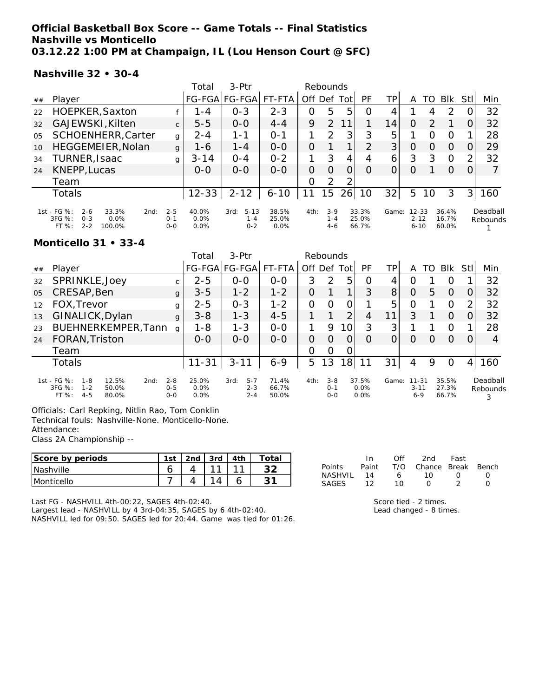### **Official Basketball Box Score -- Game Totals -- Final Statistics Nashville vs Monticello 03.12.22 1:00 PM at Champaign, IL (Lou Henson Court @ SFC)**

#### **Nashville 32 • 30-4**

|                |                                                                                                           |                               | Total                 | $3-Ptr$                                | Rebounds                  |      |                             |     |                         |       |                                   |               |                         |                |                      |
|----------------|-----------------------------------------------------------------------------------------------------------|-------------------------------|-----------------------|----------------------------------------|---------------------------|------|-----------------------------|-----|-------------------------|-------|-----------------------------------|---------------|-------------------------|----------------|----------------------|
| ##             | Player                                                                                                    |                               |                       | FG-FGA FG-FGA                          | FT-FTA                    | Off  | Def                         | Tot | PF                      | TР    | Α                                 | TO            | <b>BIK</b>              | Stll           | Min                  |
| 22             | HOEPKER, Saxton                                                                                           |                               | 1 - 4                 | $O - 3$                                | $2 - 3$                   | Ο    | 5                           | 5   | O                       |       |                                   | 4             | 2                       |                | 32                   |
| 32             | GAJEWSKI, Kilten                                                                                          | $\mathsf{C}$                  | $5 - 5$               | $0 - 0$                                | $4 - 4$                   | 9    | $\mathcal{P}$               |     |                         | 14    | Ο                                 | $\mathcal{P}$ |                         |                | 32                   |
| O <sub>5</sub> | <b>SCHOENHERR, Carter</b>                                                                                 | g                             | $2 - 4$               | 1 - 1                                  | $O - 1$                   |      | $\mathcal{P}$               | 3   | 3                       | 5     |                                   | Ω             | O                       |                | 28                   |
| 10             | HEGGEMEIER, Nolan                                                                                         | $\mathbf{q}$                  | $1 - 6$               | $1 - 4$                                | $0 - 0$                   | O    |                             |     | 2                       | 3     | O                                 | Ω             | $\Omega$                |                | 29                   |
| 34             | TURNER, Isaac                                                                                             | g                             | $3 - 14$              | $O - 4$                                | $0 - 2$                   |      | 3                           | 4   |                         | 6     | 3                                 | 3             | O                       | ⌒              | 32                   |
| 24             | KNEPP, Lucas                                                                                              |                               | $0 - 0$               | $0 - 0$                                | $0 - 0$                   | 0    | $\left( \right)$            | 0   | O                       |       | 0                                 |               | O                       |                |                      |
|                | Team                                                                                                      |                               |                       |                                        |                           | 0    | 2                           | っ   |                         |       |                                   |               |                         |                |                      |
|                | Totals                                                                                                    |                               | $12 - 33$             | $2 - 12$                               | $6 - 10$                  |      | 15                          | 26  | 10                      | 32    | 5                                 | 10            | 3                       | 3 <sup>1</sup> | 160                  |
|                | 1st - FG %:<br>$2 - 6$<br>33.3%<br>2nd:<br>$3FG \%$<br>$O - 3$<br>$0.0\%$<br>$FT%$ :<br>$2 - 2$<br>100.0% | $2 - 5$<br>$O - 1$<br>$O - O$ | 40.0%<br>0.0%<br>0.0% | $5 - 13$<br>3rd:<br>$1 - 4$<br>$0 - 2$ | 38.5%<br>25.0%<br>$0.0\%$ | 4th: | $3-9$<br>$1 - 4$<br>$4 - 6$ |     | 33.3%<br>25.0%<br>66.7% | Game: | $12 - 33$<br>$2 - 12$<br>$6 - 10$ |               | 36.4%<br>16.7%<br>60.0% |                | Deadball<br>Rebounds |

#### **Monticello 31 • 33-4**

|                |                                                                                                      |                               | Total                 | $3-$ Ptr                              |                         |          |                               |          |                       |       |                                  |    |                         |                |                      |
|----------------|------------------------------------------------------------------------------------------------------|-------------------------------|-----------------------|---------------------------------------|-------------------------|----------|-------------------------------|----------|-----------------------|-------|----------------------------------|----|-------------------------|----------------|----------------------|
| ##             | Plaver                                                                                               |                               |                       | FG-FGA FG-FGA                         | FT-FTA                  | Off Def  |                               | Tot      | PF                    | ΤP    | Α                                | TO | <b>BIK</b>              | Stll           | Min                  |
| 32             | SPRINKLE, Joey                                                                                       | $\mathsf{C}$                  | $2 - 5$               | $0 - 0$                               | $0 - 0$                 | 3        | 2                             | 5        | O                     | 4     |                                  |    | Ω                       |                | 32                   |
| 0 <sub>5</sub> | CRESAP, Ben                                                                                          | $\mathbf{q}$                  | $3 - 5$               | $1 - 2$                               | $1 - 2$                 | O        |                               | 1        | 3                     | 8     | O                                | 5. | $\Omega$                | $\Omega$       | 32                   |
| 12             | FOX, Trevor                                                                                          | g                             | $2 - 5$               | $O - 3$                               | $1 - 2$                 | $\Omega$ | $\Omega$                      | 0        |                       | 5     | O                                |    | 0                       | $\overline{2}$ | 32                   |
| 13             | GINALICK, Dylan                                                                                      | $\mathbf{q}$                  | $3 - 8$               | $1 - 3$                               | $4 - 5$                 |          |                               | 2        | 4                     | 11    | 3                                |    | $\Omega$                | O.             | 32                   |
| 23             | BUEHNERKEMPER, Tann                                                                                  | q                             | 1-8                   | $1 - 3$                               | $0 - 0$                 |          | 9                             | 10       | 3                     | 3     |                                  |    | O                       |                | 28                   |
| 24             | FORAN, Triston                                                                                       |                               | $O-O$                 | $0 - 0$                               | $0 - 0$                 | 0        | 0                             | $\Omega$ | O                     |       | O                                | O  | $\Omega$                | $\Omega$       | 4                    |
|                | Team                                                                                                 |                               |                       |                                       |                         | O        | O                             | 0        |                       |       |                                  |    |                         |                |                      |
|                | Totals                                                                                               |                               | $11 - 31$             | $3 - 11$                              | $6 - 9$                 | 5        | 13                            | 18       | 11                    | 31    | 4                                | 9  | O                       | 4              | 160                  |
|                | $1st - FG$ %:<br>12.5%<br>$1 - 8$<br>2nd:<br>$3FG \%$<br>$1 - 2$<br>50.0%<br>FT%<br>$4 - 5$<br>80.0% | $2 - 8$<br>$0 - 5$<br>$0 - 0$ | 25.0%<br>0.0%<br>0.0% | $5 - 7$<br>3rd:<br>$2 - 3$<br>$2 - 4$ | 71.4%<br>66.7%<br>50.0% | 4th:     | $3 - 8$<br>$0 - 1$<br>$0 - 0$ |          | 37.5%<br>0.0%<br>0.0% | Game: | $11 - 31$<br>$3 - 11$<br>$6 - 9$ |    | 35.5%<br>27.3%<br>66.7% |                | Deadball<br>Rebounds |

Officials: Carl Repking, Nitlin Rao, Tom Conklin

Technical fouls: Nashville-None. Monticello-None.

Class 2A Championship --

| Score by periods  | 1st | 2 <sub>nd</sub> | 3rd | 4 <sup>th</sup> | Total |
|-------------------|-----|-----------------|-----|-----------------|-------|
| <b>Nashville</b>  |     |                 |     |                 |       |
| <b>Monticello</b> |     |                 |     |                 |       |

|               | In.   | ∩ff | 2nd                | Fast             |  |
|---------------|-------|-----|--------------------|------------------|--|
| <b>Points</b> | Paint | T/O | Chance Break Bench |                  |  |
| NASHVII       | 14    | 6   | 10.                | $\left( \right)$ |  |
| SAGES         | 12    | 1 O | $\left( \right)$   |                  |  |

Last FG - NASHVILL 4th-00:22, SAGES 4th-02:40.

Largest lead - NASHVILL by 4 3rd-04:35, SAGES by 6 4th-02:40. NASHVILL led for 09:50. SAGES led for 20:44. Game was tied for 01:26. Score tied - 2 times. Lead changed - 8 times.

Attendance: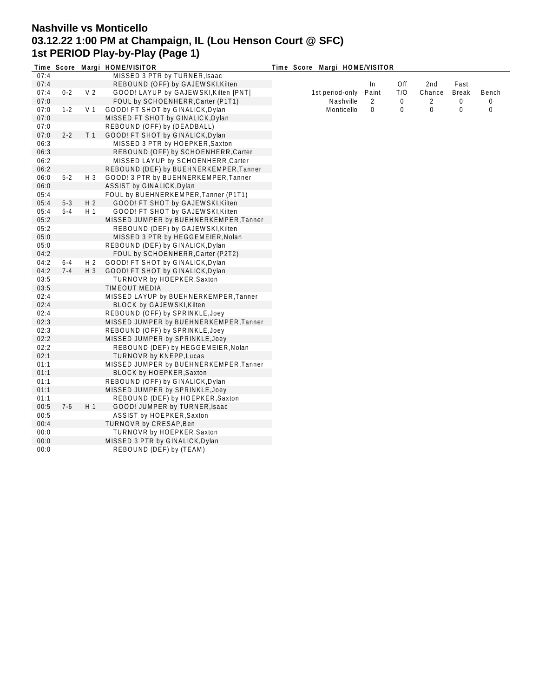# **Nashville vs Monticello 03.12.22 1:00 PM at Champaign, IL (Lou Henson Court @ SFC) 1st PERIOD Play-by-Play (Page 1)**

|      |         |                | Time Score Margi HOME/VISITOR          | Time Score Margi HOME/VISITOR |       |     |        |              |             |
|------|---------|----------------|----------------------------------------|-------------------------------|-------|-----|--------|--------------|-------------|
| 07:4 |         |                | MISSED 3 PTR by TURNER, Isaac          |                               |       |     |        |              |             |
| 07:4 |         |                | REBOUND (OFF) by GAJEWSKI, Kilten      |                               | In    | Off | 2nd    | Fast         |             |
| 07:4 | $0 - 2$ | V <sub>2</sub> | GOOD! LAYUP by GAJEWSKI, Kilten [PNT]  | 1st period-only               | Paint | T/O | Chance | <b>Break</b> | Bench       |
| 07:0 |         |                | FOUL by SCHOENHERR, Carter (P1T1)      | Nashville                     | 2     | 0   | 2      | 0            | $\mathbf 0$ |
| 07:0 | $1 - 2$ | V <sub>1</sub> | GOOD! FT SHOT by GINALICK, Dylan       | Monticello                    | 0     | 0   | 0      | 0            | 0           |
| 07:0 |         |                | MISSED FT SHOT by GINALICK, Dylan      |                               |       |     |        |              |             |
| 07:0 |         |                | REBOUND (OFF) by (DEADBALL)            |                               |       |     |        |              |             |
| 07:0 | $2 - 2$ | T <sub>1</sub> | GOOD! FT SHOT by GINALICK, Dylan       |                               |       |     |        |              |             |
| 06:3 |         |                | MISSED 3 PTR by HOEPKER, Saxton        |                               |       |     |        |              |             |
| 06:3 |         |                | REBOUND (OFF) by SCHOENHERR, Carter    |                               |       |     |        |              |             |
| 06:2 |         |                | MISSED LAYUP by SCHOENHERR, Carter     |                               |       |     |        |              |             |
| 06:2 |         |                | REBOUND (DEF) by BUEHNERKEMPER, Tanner |                               |       |     |        |              |             |
| 06:0 | $5 - 2$ | $H_3$          | GOOD! 3 PTR by BUEHNERKEMPER, Tanner   |                               |       |     |        |              |             |
| 06:0 |         |                | ASSIST by GINALICK, Dylan              |                               |       |     |        |              |             |
| 05:4 |         |                | FOUL by BUEHNERKEMPER, Tanner (P1T1)   |                               |       |     |        |              |             |
| 05:4 | $5 - 3$ | H <sub>2</sub> | GOOD! FT SHOT by GAJEWSKI, Kilten      |                               |       |     |        |              |             |
| 05:4 | $5 - 4$ | H 1            | GOOD! FT SHOT by GAJEWSKI, Kilten      |                               |       |     |        |              |             |
| 05:2 |         |                | MISSED JUMPER by BUEHNERKEMPER, Tanner |                               |       |     |        |              |             |
| 05:2 |         |                | REBOUND (DEF) by GAJEWSKI, Kilten      |                               |       |     |        |              |             |
| 05:0 |         |                | MISSED 3 PTR by HEGGEMEIER, Nolan      |                               |       |     |        |              |             |
| 05:0 |         |                | REBOUND (DEF) by GINALICK, Dylan       |                               |       |     |        |              |             |
| 04:2 |         |                | FOUL by SCHOENHERR, Carter (P2T2)      |                               |       |     |        |              |             |
| 04:2 | $6 - 4$ | H <sub>2</sub> | GOOD! FT SHOT by GINALICK, Dylan       |                               |       |     |        |              |             |
| 04:2 | $7 - 4$ | $H_3$          | GOOD! FT SHOT by GINALICK, Dylan       |                               |       |     |        |              |             |
| 03:5 |         |                | TURNOVR by HOEPKER, Saxton             |                               |       |     |        |              |             |
| 03:5 |         |                | <b>TIMEOUT MEDIA</b>                   |                               |       |     |        |              |             |
| 02:4 |         |                | MISSED LAYUP by BUEHNERKEMPER, Tanner  |                               |       |     |        |              |             |
| 02:4 |         |                | <b>BLOCK by GAJEWSKI, Kilten</b>       |                               |       |     |        |              |             |
| 02:4 |         |                | REBOUND (OFF) by SPRINKLE, Joey        |                               |       |     |        |              |             |
| 02:3 |         |                | MISSED JUMPER by BUEHNERKEMPER, Tanner |                               |       |     |        |              |             |
| 02:3 |         |                | REBOUND (OFF) by SPRINKLE, Joey        |                               |       |     |        |              |             |
| 02:2 |         |                | MISSED JUMPER by SPRINKLE, Joey        |                               |       |     |        |              |             |
| 02:2 |         |                | REBOUND (DEF) by HEGGEMEIER, Nolan     |                               |       |     |        |              |             |
| 02:1 |         |                | <b>TURNOVR by KNEPP, Lucas</b>         |                               |       |     |        |              |             |
| 01:1 |         |                | MISSED JUMPER by BUEHNERKEMPER, Tanner |                               |       |     |        |              |             |
| 01:1 |         |                | BLOCK by HOEPKER, Saxton               |                               |       |     |        |              |             |
| 01:1 |         |                | REBOUND (OFF) by GINALICK, Dylan       |                               |       |     |        |              |             |
| 01:1 |         |                | MISSED JUMPER by SPRINKLE, Joey        |                               |       |     |        |              |             |
| 01:1 |         |                | REBOUND (DEF) by HOEPKER, Saxton       |                               |       |     |        |              |             |
| 00:5 | $7-6$   | H1             | GOOD! JUMPER by TURNER, Isaac          |                               |       |     |        |              |             |
| 00:5 |         |                | ASSIST by HOEPKER, Saxton              |                               |       |     |        |              |             |
| 00:4 |         |                | TURNOVR by CRESAP, Ben                 |                               |       |     |        |              |             |
| 00:0 |         |                | TURNOVR by HOEPKER, Saxton             |                               |       |     |        |              |             |
| 00:0 |         |                | MISSED 3 PTR by GINALICK, Dylan        |                               |       |     |        |              |             |
| 00:0 |         |                |                                        |                               |       |     |        |              |             |
|      |         |                | REBOUND (DEF) by (TEAM)                |                               |       |     |        |              |             |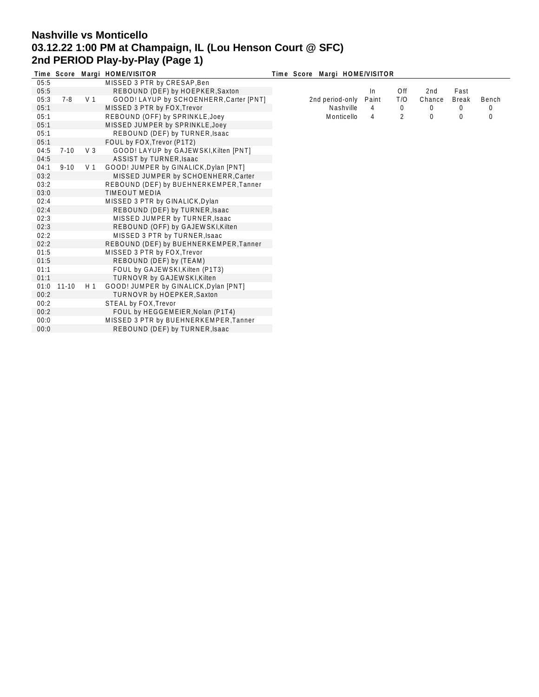# **Nashville vs Monticello 03.12.22 1:00 PM at Champaign, IL (Lou Henson Court @ SFC) 2nd PERIOD Play-by-Play (Page 1)**

|      | Time Score |                | Margi HOME/VISITOR                      |  | Time Score Margi HOME/VISITOR |       |                |          |              |       |
|------|------------|----------------|-----------------------------------------|--|-------------------------------|-------|----------------|----------|--------------|-------|
| 05:5 |            |                | MISSED 3 PTR by CRESAP, Ben             |  |                               |       |                |          |              |       |
| 05:5 |            |                | REBOUND (DEF) by HOEPKER, Saxton        |  |                               | In.   | Off            | 2nd      | Fast         |       |
| 05:3 | 7-8        | V <sub>1</sub> | GOOD! LAYUP by SCHOENHERR, Carter [PNT] |  | 2nd period-only               | Paint | T/O            | Chance   | <b>Break</b> | Bench |
| 05:1 |            |                | MISSED 3 PTR by FOX, Trevor             |  | Nashville                     | 4     | 0              | 0        | 0            | 0     |
| 05:1 |            |                | REBOUND (OFF) by SPRINKLE, Joey         |  | Monticello                    | 4     | $\overline{2}$ | $\Omega$ | 0            | 0     |
| 05:1 |            |                | MISSED JUMPER by SPRINKLE, Joey         |  |                               |       |                |          |              |       |
| 05:1 |            |                | REBOUND (DEF) by TURNER, Isaac          |  |                               |       |                |          |              |       |
| 05:1 |            |                | FOUL by FOX, Trevor (P1T2)              |  |                               |       |                |          |              |       |
| 04:5 | $7 - 10$   | V <sub>3</sub> | GOOD! LAYUP by GAJEWSKI, Kilten [PNT]   |  |                               |       |                |          |              |       |
| 04:5 |            |                | ASSIST by TURNER, Isaac                 |  |                               |       |                |          |              |       |
| 04:1 | $9 - 10$   | V <sub>1</sub> | GOOD! JUMPER by GINALICK, Dylan [PNT]   |  |                               |       |                |          |              |       |
| 03:2 |            |                | MISSED JUMPER by SCHOENHERR, Carter     |  |                               |       |                |          |              |       |
| 03:2 |            |                | REBOUND (DEF) by BUEHNERKEMPER, Tanner  |  |                               |       |                |          |              |       |
| 03:0 |            |                | <b>TIMEOUT MEDIA</b>                    |  |                               |       |                |          |              |       |
| 02:4 |            |                | MISSED 3 PTR by GINALICK, Dylan         |  |                               |       |                |          |              |       |
| 02:4 |            |                | REBOUND (DEF) by TURNER, Isaac          |  |                               |       |                |          |              |       |
| 02:3 |            |                | MISSED JUMPER by TURNER, Isaac          |  |                               |       |                |          |              |       |
| 02:3 |            |                | REBOUND (OFF) by GAJEWSKI, Kilten       |  |                               |       |                |          |              |       |
| 02:2 |            |                | MISSED 3 PTR by TURNER, Isaac           |  |                               |       |                |          |              |       |
| 02:2 |            |                | REBOUND (DEF) by BUEHNERKEMPER, Tanner  |  |                               |       |                |          |              |       |
| 01:5 |            |                | MISSED 3 PTR by FOX, Trevor             |  |                               |       |                |          |              |       |
| 01:5 |            |                | REBOUND (DEF) by (TEAM)                 |  |                               |       |                |          |              |       |
| 01:1 |            |                | FOUL by GAJEWSKI, Kilten (P1T3)         |  |                               |       |                |          |              |       |
| 01:1 |            |                | TURNOVR by GAJEWSKI, Kilten             |  |                               |       |                |          |              |       |
| 01:0 | 11-10      | H 1            | GOOD! JUMPER by GINALICK, Dylan [PNT]   |  |                               |       |                |          |              |       |
| 00:2 |            |                | <b>TURNOVR by HOEPKER, Saxton</b>       |  |                               |       |                |          |              |       |
| 00:2 |            |                | STEAL by FOX, Trevor                    |  |                               |       |                |          |              |       |
| 00:2 |            |                | FOUL by HEGGEMEIER, Nolan (P1T4)        |  |                               |       |                |          |              |       |
| 00:0 |            |                | MISSED 3 PTR by BUEHNERKEMPER, Tanner   |  |                               |       |                |          |              |       |
| 00:0 |            |                | REBOUND (DEF) by TURNER, Isaac          |  |                               |       |                |          |              |       |
|      |            |                |                                         |  |                               |       |                |          |              |       |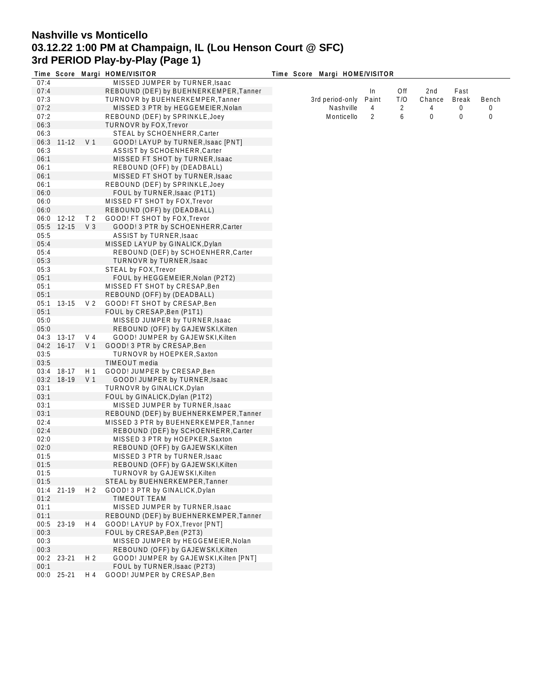# **Nashville vs Monticello 03.12.22 1:00 PM at Champaign, IL (Lou Henson Court @ SFC) 3rd PERIOD Play-by-Play (Page 1)**

|      |            |                | Time Score Margi HOME/VISITOR          | Time Score Margi HOME/VISITOR |       |     |        |              |       |
|------|------------|----------------|----------------------------------------|-------------------------------|-------|-----|--------|--------------|-------|
| 07:4 |            |                | MISSED JUMPER by TURNER, Isaac         |                               |       |     |        |              |       |
| 07:4 |            |                | REBOUND (DEF) by BUEHNERKEMPER, Tanner |                               | In    | Off | 2nd    | Fast         |       |
| 07:3 |            |                | TURNOVR by BUEHNERKEMPER, Tanner       | 3rd period-only               | Paint | T/O | Chance | <b>Break</b> | Bench |
| 07:2 |            |                | MISSED 3 PTR by HEGGEMEIER, Nolan      | Nashville                     | 4     | 2   | 4      | 0            | 0     |
| 07:2 |            |                | REBOUND (DEF) by SPRINKLE, Joey        | Monticello                    | 2     | 6   | 0      | 0            | 0     |
| 06:3 |            |                | TURNOVR by FOX, Trevor                 |                               |       |     |        |              |       |
| 06:3 |            |                | STEAL by SCHOENHERR, Carter            |                               |       |     |        |              |       |
| 06:3 | $11 - 12$  | V <sub>1</sub> | GOOD! LAYUP by TURNER, Isaac [PNT]     |                               |       |     |        |              |       |
| 06:3 |            |                | ASSIST by SCHOENHERR, Carter           |                               |       |     |        |              |       |
| 06:1 |            |                | MISSED FT SHOT by TURNER, Isaac        |                               |       |     |        |              |       |
| 06:1 |            |                | REBOUND (OFF) by (DEADBALL)            |                               |       |     |        |              |       |
| 06:1 |            |                | MISSED FT SHOT by TURNER, Isaac        |                               |       |     |        |              |       |
| 06:1 |            |                | REBOUND (DEF) by SPRINKLE, Joey        |                               |       |     |        |              |       |
| 06:0 |            |                | FOUL by TURNER, Isaac (P1T1)           |                               |       |     |        |              |       |
| 06:0 |            |                | MISSED FT SHOT by FOX, Trevor          |                               |       |     |        |              |       |
|      |            |                |                                        |                               |       |     |        |              |       |
| 06:0 |            |                | REBOUND (OFF) by (DEADBALL)            |                               |       |     |        |              |       |
| 06:0 | 12-12      | T <sub>2</sub> | GOOD! FT SHOT by FOX, Trevor           |                               |       |     |        |              |       |
| 05:5 | $12 - 15$  | $V_3$          | GOOD! 3 PTR by SCHOENHERR, Carter      |                               |       |     |        |              |       |
| 05:5 |            |                | ASSIST by TURNER, Isaac                |                               |       |     |        |              |       |
| 05:4 |            |                | MISSED LAYUP by GINALICK, Dylan        |                               |       |     |        |              |       |
| 05:4 |            |                | REBOUND (DEF) by SCHOENHERR, Carter    |                               |       |     |        |              |       |
| 05:3 |            |                | TURNOVR by TURNER, Isaac               |                               |       |     |        |              |       |
| 05:3 |            |                | STEAL by FOX, Trevor                   |                               |       |     |        |              |       |
| 05:1 |            |                | FOUL by HEGGEMEIER, Nolan (P2T2)       |                               |       |     |        |              |       |
| 05:1 |            |                | MISSED FT SHOT by CRESAP, Ben          |                               |       |     |        |              |       |
| 05:1 |            |                | REBOUND (OFF) by (DEADBALL)            |                               |       |     |        |              |       |
| 05:1 | 13-15      | V <sub>2</sub> | GOOD! FT SHOT by CRESAP, Ben           |                               |       |     |        |              |       |
| 05:1 |            |                | FOUL by CRESAP, Ben (P1T1)             |                               |       |     |        |              |       |
| 05:0 |            |                | MISSED JUMPER by TURNER, Isaac         |                               |       |     |        |              |       |
| 05:0 |            |                | REBOUND (OFF) by GAJEWSKI, Kilten      |                               |       |     |        |              |       |
| 04:3 | $13-17$    | V <sub>4</sub> | GOOD! JUMPER by GAJEWSKI, Kilten       |                               |       |     |        |              |       |
| 04:2 | $16-17$    | V <sub>1</sub> | GOOD! 3 PTR by CRESAP, Ben             |                               |       |     |        |              |       |
| 03:5 |            |                | TURNOVR by HOEPKER, Saxton             |                               |       |     |        |              |       |
| 03:5 |            |                | TIMEOUT media                          |                               |       |     |        |              |       |
| 03:4 | 18-17      | H 1            | GOOD! JUMPER by CRESAP, Ben            |                               |       |     |        |              |       |
| 03:2 | 18-19      | V 1            | GOOD! JUMPER by TURNER, Isaac          |                               |       |     |        |              |       |
| 03:1 |            |                | TURNOVR by GINALICK, Dylan             |                               |       |     |        |              |       |
| 03:1 |            |                | FOUL by GINALICK, Dylan (P1T2)         |                               |       |     |        |              |       |
| 03:1 |            |                | MISSED JUMPER by TURNER, Isaac         |                               |       |     |        |              |       |
| 03:1 |            |                | REBOUND (DEF) by BUEHNERKEMPER, Tanner |                               |       |     |        |              |       |
| 02:4 |            |                | MISSED 3 PTR by BUEHNERKEMPER, Tanner  |                               |       |     |        |              |       |
| 02:4 |            |                | REBOUND (DEF) by SCHOENHERR, Carter    |                               |       |     |        |              |       |
| 02:0 |            |                | MISSED 3 PTR by HOEPKER, Saxton        |                               |       |     |        |              |       |
| 02:0 |            |                | REBOUND (OFF) by GAJEWSKI, Kilten      |                               |       |     |        |              |       |
| 01:5 |            |                | MISSED 3 PTR by TURNER, Isaac          |                               |       |     |        |              |       |
| 01:5 |            |                | REBOUND (OFF) by GAJEWSKI, Kilten      |                               |       |     |        |              |       |
| 01:5 |            |                | TURNOVR by GAJEWSKI, Kilten            |                               |       |     |        |              |       |
|      |            |                |                                        |                               |       |     |        |              |       |
| 01:5 |            |                | STEAL by BUEHNERKEMPER, Tanner         |                               |       |     |        |              |       |
| 01:4 | $21 - 19$  | H <sub>2</sub> | GOOD! 3 PTR by GINALICK, Dylan         |                               |       |     |        |              |       |
| 01:2 |            |                | TIMEOUT TEAM                           |                               |       |     |        |              |       |
| 01:1 |            |                | MISSED JUMPER by TURNER, Isaac         |                               |       |     |        |              |       |
| 01:1 |            |                | REBOUND (DEF) by BUEHNERKEMPER, Tanner |                               |       |     |        |              |       |
| 00:5 | 23-19      | H 4            | GOOD! LAYUP by FOX, Trevor [PNT]       |                               |       |     |        |              |       |
| 00:3 |            |                | FOUL by CRESAP, Ben (P2T3)             |                               |       |     |        |              |       |
| 00:3 |            |                | MISSED JUMPER by HEGGEMEIER, Nolan     |                               |       |     |        |              |       |
| 00:3 |            |                | REBOUND (OFF) by GAJEWSKI, Kilten      |                               |       |     |        |              |       |
| 00:2 | 23-21      | H <sub>2</sub> | GOOD! JUMPER by GAJEWSKI, Kilten [PNT] |                               |       |     |        |              |       |
| 00:1 |            |                | FOUL by TURNER, Isaac (P2T3)           |                               |       |     |        |              |       |
|      | 00:0 25-21 | H 4            | GOOD! JUMPER by CRESAP, Ben            |                               |       |     |        |              |       |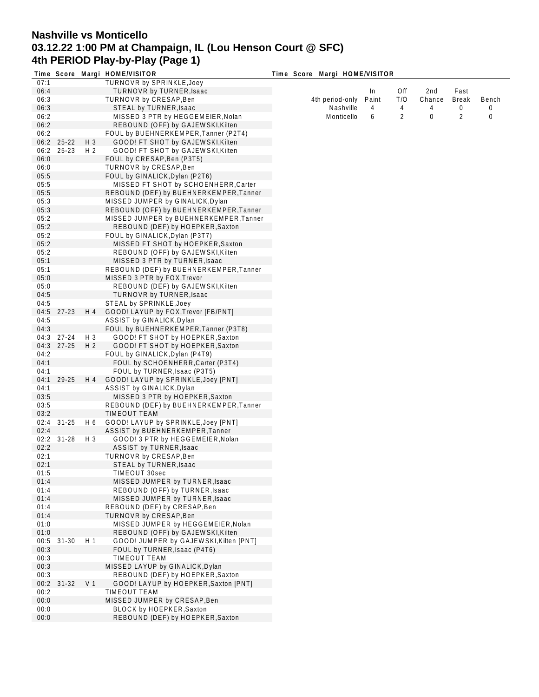## **Nashville vs Monticello 03.12.22 1:00 PM at Champaign, IL (Lou Henson Court @ SFC) 4th PERIOD Play-by-Play (Page 1)**

|      |           |                | Time Score Margi HOME/VISITOR          | Time Score Margi HOME/VISITOR |       |     |        |              |       |
|------|-----------|----------------|----------------------------------------|-------------------------------|-------|-----|--------|--------------|-------|
| 07:1 |           |                | TURNOVR by SPRINKLE, Joey              |                               |       |     |        |              |       |
| 06:4 |           |                | TURNOVR by TURNER, Isaac               |                               | In.   | Off | 2nd    | Fast         |       |
| 06:3 |           |                | TURNOVR by CRESAP, Ben                 | 4th period-only               | Paint | T/O | Chance | <b>Break</b> | Bench |
| 06:3 |           |                | STEAL by TURNER, Isaac                 | Nashville                     | 4     | 4   | 4      | 0            | 0     |
| 06:2 |           |                | MISSED 3 PTR by HEGGEMEIER, Nolan      | Monticello                    | 6     | 2   | 0      | 2            | 0     |
| 06:2 |           |                | REBOUND (OFF) by GAJEWSKI, Kilten      |                               |       |     |        |              |       |
| 06:2 |           |                | FOUL by BUEHNERKEMPER, Tanner (P2T4)   |                               |       |     |        |              |       |
| 06:2 | 25-22     | H 3            | GOOD! FT SHOT by GAJEWSKI, Kilten      |                               |       |     |        |              |       |
| 06:2 | 25-23     | H 2            | GOOD! FT SHOT by GAJEWSKI, Kilten      |                               |       |     |        |              |       |
| 06:0 |           |                | FOUL by CRESAP, Ben (P3T5)             |                               |       |     |        |              |       |
| 06:0 |           |                | TURNOVR by CRESAP, Ben                 |                               |       |     |        |              |       |
| 05:5 |           |                | FOUL by GINALICK, Dylan (P2T6)         |                               |       |     |        |              |       |
| 05:5 |           |                | MISSED FT SHOT by SCHOENHERR, Carter   |                               |       |     |        |              |       |
| 05:5 |           |                | REBOUND (DEF) by BUEHNERKEMPER, Tanner |                               |       |     |        |              |       |
| 05:3 |           |                | MISSED JUMPER by GINALICK, Dylan       |                               |       |     |        |              |       |
| 05:3 |           |                | REBOUND (OFF) by BUEHNERKEMPER, Tanner |                               |       |     |        |              |       |
| 05:2 |           |                | MISSED JUMPER by BUEHNERKEMPER, Tanner |                               |       |     |        |              |       |
| 05:2 |           |                | REBOUND (DEF) by HOEPKER, Saxton       |                               |       |     |        |              |       |
| 05:2 |           |                | FOUL by GINALICK, Dylan (P3T7)         |                               |       |     |        |              |       |
| 05:2 |           |                | MISSED FT SHOT by HOEPKER, Saxton      |                               |       |     |        |              |       |
| 05:2 |           |                | REBOUND (OFF) by GAJEWSKI, Kilten      |                               |       |     |        |              |       |
| 05:1 |           |                | MISSED 3 PTR by TURNER, Isaac          |                               |       |     |        |              |       |
| 05:1 |           |                | REBOUND (DEF) by BUEHNERKEMPER, Tanner |                               |       |     |        |              |       |
| 05:0 |           |                | MISSED 3 PTR by FOX, Trevor            |                               |       |     |        |              |       |
| 05:0 |           |                | REBOUND (DEF) by GAJEWSKI, Kilten      |                               |       |     |        |              |       |
| 04:5 |           |                | TURNOVR by TURNER, Isaac               |                               |       |     |        |              |       |
| 04:5 |           |                | STEAL by SPRINKLE, Joey                |                               |       |     |        |              |       |
| 04:5 | 27-23     | H 4            | GOOD! LAYUP by FOX, Trevor [FB/PNT]    |                               |       |     |        |              |       |
| 04:5 |           |                | ASSIST by GINALICK, Dylan              |                               |       |     |        |              |       |
| 04:3 |           |                | FOUL by BUEHNERKEMPER, Tanner (P3T8)   |                               |       |     |        |              |       |
| 04:3 | 27-24     | H 3            | GOOD! FT SHOT by HOEPKER, Saxton       |                               |       |     |        |              |       |
| 04:3 | 27-25     | H <sub>2</sub> | GOOD! FT SHOT by HOEPKER, Saxton       |                               |       |     |        |              |       |
| 04:2 |           |                | FOUL by GINALICK, Dylan (P4T9)         |                               |       |     |        |              |       |
| 04:1 |           |                | FOUL by SCHOENHERR, Carter (P3T4)      |                               |       |     |        |              |       |
| 04:1 |           |                | FOUL by TURNER, Isaac (P3T5)           |                               |       |     |        |              |       |
| 04:1 | 29-25     | H 4            | GOOD! LAYUP by SPRINKLE, Joey [PNT]    |                               |       |     |        |              |       |
| 04:1 |           |                | ASSIST by GINALICK, Dylan              |                               |       |     |        |              |       |
| 03:5 |           |                | MISSED 3 PTR by HOEPKER, Saxton        |                               |       |     |        |              |       |
| 03:5 |           |                | REBOUND (DEF) by BUEHNERKEMPER, Tanner |                               |       |     |        |              |       |
| 03:2 |           |                | TIMEOUT TEAM                           |                               |       |     |        |              |       |
| 02:4 | $31 - 25$ | H 6            | GOOD! LAYUP by SPRINKLE, Joey [PNT]    |                               |       |     |        |              |       |
| 02:4 |           |                | ASSIST by BUEHNERKEMPER, Tanner        |                               |       |     |        |              |       |
| 02:2 | $31 - 28$ | H 3            | GOOD! 3 PTR by HEGGEMEIER, Nolan       |                               |       |     |        |              |       |
| 02:2 |           |                | ASSIST by TURNER, Isaac                |                               |       |     |        |              |       |
| 02:1 |           |                | TURNOVR by CRESAP, Ben                 |                               |       |     |        |              |       |
| 02:1 |           |                | STEAL by TURNER, Isaac                 |                               |       |     |        |              |       |
| 01:5 |           |                | TIMEOUT 30sec                          |                               |       |     |        |              |       |
| 01:4 |           |                | MISSED JUMPER by TURNER, Isaac         |                               |       |     |        |              |       |
| 01:4 |           |                | REBOUND (OFF) by TURNER, Isaac         |                               |       |     |        |              |       |
| 01:4 |           |                | MISSED JUMPER by TURNER, Isaac         |                               |       |     |        |              |       |
| 01:4 |           |                | REBOUND (DEF) by CRESAP, Ben           |                               |       |     |        |              |       |
| 01:4 |           |                | TURNOVR by CRESAP, Ben                 |                               |       |     |        |              |       |
| 01:0 |           |                | MISSED JUMPER by HEGGEMEIER, Nolan     |                               |       |     |        |              |       |
| 01:0 |           |                | REBOUND (OFF) by GAJEWSKI, Kilten      |                               |       |     |        |              |       |
| 00:5 | $31 - 30$ | H 1            | GOOD! JUMPER by GAJEWSKI, Kilten [PNT] |                               |       |     |        |              |       |
| 00:3 |           |                | FOUL by TURNER, Isaac (P4T6)           |                               |       |     |        |              |       |
| 00:3 |           |                | <b>TIMEOUT TEAM</b>                    |                               |       |     |        |              |       |
| 00:3 |           |                | MISSED LAYUP by GINALICK, Dylan        |                               |       |     |        |              |       |
| 00:3 |           |                | REBOUND (DEF) by HOEPKER, Saxton       |                               |       |     |        |              |       |
| 00:2 | $31 - 32$ | V 1            | GOOD! LAYUP by HOEPKER, Saxton [PNT]   |                               |       |     |        |              |       |
| 00:2 |           |                | TIMEOUT TEAM                           |                               |       |     |        |              |       |
| 00:0 |           |                | MISSED JUMPER by CRESAP, Ben           |                               |       |     |        |              |       |
| 00:0 |           |                | BLOCK by HOEPKER, Saxton               |                               |       |     |        |              |       |
| 00:0 |           |                | REBOUND (DEF) by HOEPKER, Saxton       |                               |       |     |        |              |       |